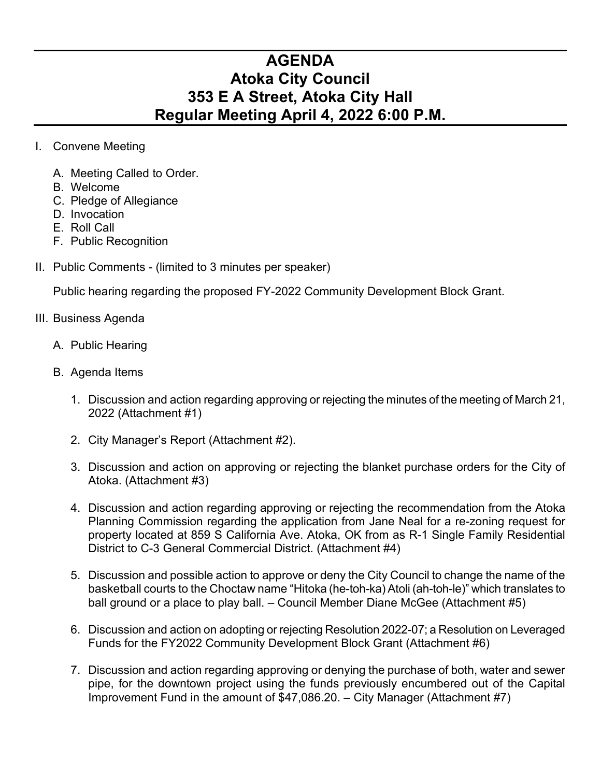## **AGENDA Atoka City Council 353 E A Street, Atoka City Hall Regular Meeting April 4, 2022 6:00 P.M.**

- I. Convene Meeting
	- A. Meeting Called to Order.
	- B. Welcome
	- C. Pledge of Allegiance
	- D. Invocation
	- E. Roll Call
	- F. Public Recognition
- II. Public Comments (limited to 3 minutes per speaker)

Public hearing regarding the proposed FY-2022 Community Development Block Grant.

- III. Business Agenda
	- A. Public Hearing
	- B. Agenda Items
		- 1. Discussion and action regarding approving or rejecting the minutes of the meeting of March 21, 2022 (Attachment #1)
		- 2. City Manager's Report (Attachment #2).
		- 3. Discussion and action on approving or rejecting the blanket purchase orders for the City of Atoka. (Attachment #3)
		- 4. Discussion and action regarding approving or rejecting the recommendation from the Atoka Planning Commission regarding the application from Jane Neal for a re-zoning request for property located at 859 S California Ave. Atoka, OK from as R-1 Single Family Residential District to C-3 General Commercial District. (Attachment #4)
		- 5. Discussion and possible action to approve or deny the City Council to change the name of the basketball courts to the Choctaw name "Hitoka (he-toh-ka) Atoli (ah-toh-le)" which translates to ball ground or a place to play ball. – Council Member Diane McGee (Attachment #5)
		- 6. Discussion and action on adopting or rejecting Resolution 2022-07; a Resolution on Leveraged Funds for the FY2022 Community Development Block Grant (Attachment #6)
		- 7. Discussion and action regarding approving or denying the purchase of both, water and sewer pipe, for the downtown project using the funds previously encumbered out of the Capital Improvement Fund in the amount of  $$47,086.20$ . – City Manager (Attachment #7)